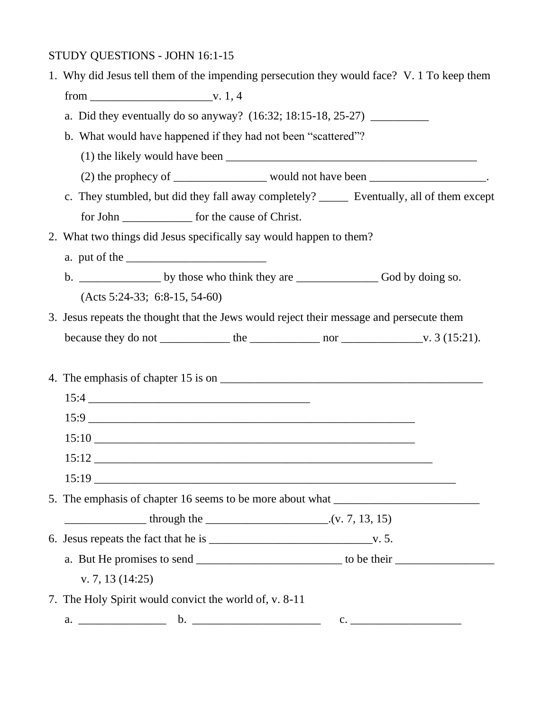## STUDY QUESTIONS - JOHN 16:1-15

| 1. Why did Jesus tell them of the impending persecution they would face? V. 1 To keep them   |
|----------------------------------------------------------------------------------------------|
|                                                                                              |
| a. Did they eventually do so anyway? (16:32; 18:15-18, 25-27) ___________________            |
| b. What would have happened if they had not been "scattered"?                                |
|                                                                                              |
| (2) the prophecy of ________________ would not have been _____________________.              |
| c. They stumbled, but did they fall away completely? ________ Eventually, all of them except |
| for John _________________ for the cause of Christ.                                          |
| 2. What two things did Jesus specifically say would happen to them?                          |
|                                                                                              |
|                                                                                              |
| $(Acts 5:24-33; 6:8-15, 54-60)$                                                              |
| 3. Jesus repeats the thought that the Jews would reject their message and persecute them     |
|                                                                                              |
|                                                                                              |
|                                                                                              |
|                                                                                              |
|                                                                                              |
|                                                                                              |
|                                                                                              |
|                                                                                              |
| 5. The emphasis of chapter 16 seems to be more about what _______________________            |
|                                                                                              |
|                                                                                              |
|                                                                                              |
| v. 7, 13 $(14:25)$                                                                           |
| 7. The Holy Spirit would convict the world of, v. 8-11                                       |
|                                                                                              |
|                                                                                              |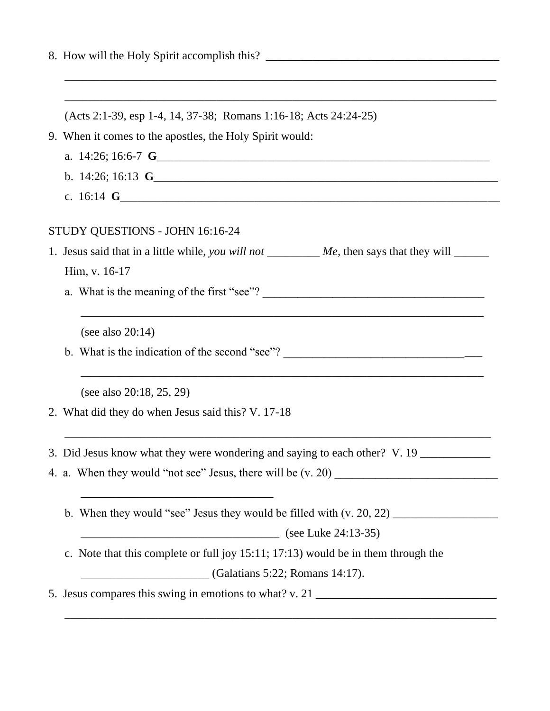| (Acts 2:1-39, esp 1-4, 14, 37-38; Romans 1:16-18; Acts 24:24-25)                                                                                                                                                                                                                                                                            |
|---------------------------------------------------------------------------------------------------------------------------------------------------------------------------------------------------------------------------------------------------------------------------------------------------------------------------------------------|
| 9. When it comes to the apostles, the Holy Spirit would:                                                                                                                                                                                                                                                                                    |
|                                                                                                                                                                                                                                                                                                                                             |
| b. 14:26; 16:13 $\text{G}_{\text{max}}$ 14:26; 16:13 $\text{G}_{\text{max}}$ 14:26; 16:13 $\text{G}_{\text{max}}$ 14:26; 16:13 $\text{G}_{\text{max}}$ 14:26; 16:13 $\text{G}_{\text{max}}$ 14:26; 16:13 $\text{G}_{\text{max}}$ 14:26; 16:13 $\text{G}_{\text{max}}$ 14:26; 16:13 $\text{G}_{\text{max}}$ 14:26; 16:                       |
| c. 16:14 $\text{G}_{\text{max}}$ 6. 16:14 $\text{G}_{\text{max}}$ 6. 16:14 $\text{G}_{\text{max}}$ 6. 16:14 $\text{G}_{\text{max}}$ 6. 16:14 $\text{G}_{\text{max}}$ 6. 16:14 $\text{G}_{\text{max}}$ 6. 16:14 $\text{G}_{\text{max}}$ 6. 16:14 $\text{G}_{\text{max}}$ 6. 16:14 $\text{G}_{\text{max}}$ 6. 16:14 $\text{G}_{\text{max}}$ 6 |
|                                                                                                                                                                                                                                                                                                                                             |
| STUDY QUESTIONS - JOHN 16:16-24                                                                                                                                                                                                                                                                                                             |
| 1. Jesus said that in a little while, you will not __________ Me, then says that they will ______                                                                                                                                                                                                                                           |
| Him, v. 16-17                                                                                                                                                                                                                                                                                                                               |
|                                                                                                                                                                                                                                                                                                                                             |
| (see also $20:14$ )                                                                                                                                                                                                                                                                                                                         |
| b. What is the indication of the second "see"?                                                                                                                                                                                                                                                                                              |
| (see also 20:18, 25, 29)                                                                                                                                                                                                                                                                                                                    |
| 2. What did they do when Jesus said this? V. 17-18                                                                                                                                                                                                                                                                                          |
| 3. Did Jesus know what they were wondering and saying to each other? V. 19                                                                                                                                                                                                                                                                  |
|                                                                                                                                                                                                                                                                                                                                             |
| <u> 1989 - Johann John Stone, markin film yn y brening yn y brening yn y brening yn y brening yn y brening yn y b</u>                                                                                                                                                                                                                       |
| (see Luke 24:13-35)                                                                                                                                                                                                                                                                                                                         |
| c. Note that this complete or full joy 15:11; 17:13) would be in them through the                                                                                                                                                                                                                                                           |
| $\boxed{\phantom{a} \phantom{a} \phantom{a}}$ (Galatians 5:22; Romans 14:17).                                                                                                                                                                                                                                                               |
| 5. Jesus compares this swing in emotions to what? v. 21 _________________________                                                                                                                                                                                                                                                           |